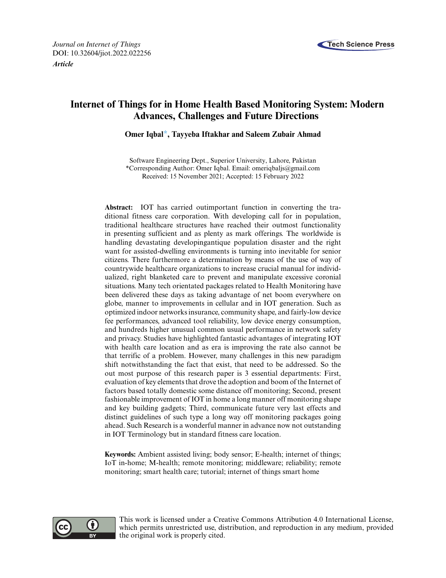



# **Internet of Things for in Home Health Based Monitoring System: Modern Advances, Challenges and Future Directions**

**Omer Iqba[l\\*,](#page-0-0) Tayyeba Iftakhar and Saleem Zubair Ahmad**

<span id="page-0-0"></span>Software Engineering Dept., Superior University, Lahore, Pakistan \*Corresponding Author: Omer Iqbal. Email: [omeriqbaljs@gmail.com](mailto:omeriqbaljs@gmail.com) Received: 15 November 2021; Accepted: 15 February 2022

**Abstract:** IOT has carried outimportant function in converting the traditional fitness care corporation. With developing call for in population, traditional healthcare structures have reached their outmost functionality in presenting sufficient and as plenty as mark offerings. The worldwide is handling devastating developingantique population disaster and the right want for assisted-dwelling environments is turning into inevitable for senior citizens. There furthermore a determination by means of the use of way of countrywide healthcare organizations to increase crucial manual for individualized, right blanketed care to prevent and manipulate excessive coronial situations. Many tech orientated packages related to Health Monitoring have been delivered these days as taking advantage of net boom everywhere on globe, manner to improvements in cellular and in IOT generation. Such as optimized indoor networks insurance, community shape, and fairly-low device fee performances, advanced tool reliability, low device energy consumption, and hundreds higher unusual common usual performance in network safety and privacy. Studies have highlighted fantastic advantages of integrating IOT with health care location and as era is improving the rate also cannot be that terrific of a problem. However, many challenges in this new paradigm shift notwithstanding the fact that exist, that need to be addressed. So the out most purpose of this research paper is 3 essential departments: First, evaluation of key elements that drove the adoption and boom of the Internet of factors based totally domestic some distance off monitoring; Second, present fashionable improvement of IOT in home a long manner off monitoring shape and key building gadgets; Third, communicate future very last effects and distinct guidelines of such type a long way off monitoring packages going ahead. Such Research is a wonderful manner in advance now not outstanding in IOT Terminology but in standard fitness care location.

**Keywords:** Ambient assisted living; body sensor; E-health; internet of things; IoT in-home; M-health; remote monitoring; middleware; reliability; remote monitoring; smart health care; tutorial; internet of things smart home



This work is licensed under a Creative Commons Attribution 4.0 International License, which permits unrestricted use, distribution, and reproduction in any medium, provided the original work is properly cited.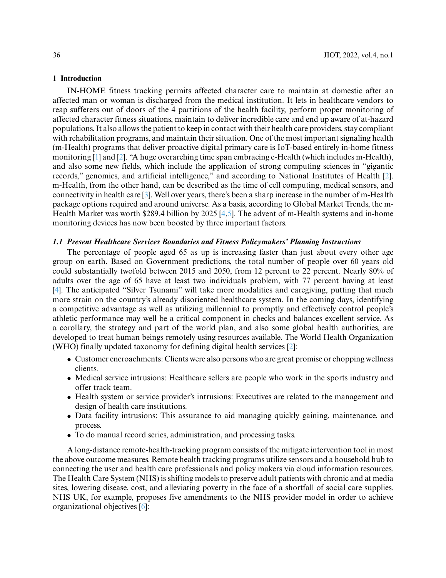### **1 Introduction**

IN-HOME fitness tracking permits affected character care to maintain at domestic after an affected man or woman is discharged from the medical institution. It lets in healthcare vendors to reap sufferers out of doors of the 4 partitions of the health facility, perform proper monitoring of affected character fitness situations, maintain to deliver incredible care and end up aware of at-hazard populations. It also allows the patient to keep in contact with their health care providers, stay compliant with rehabilitation programs, and maintain their situation. One of the most important signaling health (m-Health) programs that deliver proactive digital primary care is IoT-based entirely in-home fitness monitoring [\[1\]](#page-17-0) and [\[2\]](#page-17-1). "A huge overarching time span embracing e-Health (which includes m-Health), and also some new fields, which include the application of strong computing sciences in "gigantic records," genomics, and artificial intelligence," and according to National Institutes of Health [\[2\]](#page-17-1). m-Health, from the other hand, can be described as the time of cell computing, medical sensors, and connectivity in health care [\[3\]](#page-18-0). Well over years, there's been a sharp increase in the number of m-Health package options required and around universe. As a basis, according to Global Market Trends, the m-Health Market was worth \$289.4 billion by 2025 [\[4](#page-18-1)[,5\]](#page-18-2). The advent of m-Health systems and in-home monitoring devices has now been boosted by three important factors.

# *1.1 Present Healthcare Services Boundaries and Fitness Policymakers' Planning Instructions*

The percentage of people aged 65 as up is increasing faster than just about every other age group on earth. Based on Government predictions, the total number of people over 60 years old could substantially twofold between 2015 and 2050, from 12 percent to 22 percent. Nearly 80% of adults over the age of 65 have at least two individuals problem, with 77 percent having at least [\[4\]](#page-18-1). The anticipated "Silver Tsunami" will take more modalities and caregiving, putting that much more strain on the country's already disoriented healthcare system. In the coming days, identifying a competitive advantage as well as utilizing millennial to promptly and effectively control people's athletic performance may well be a critical component in checks and balances excellent service. As a corollary, the strategy and part of the world plan, and also some global health authorities, are developed to treat human beings remotely using resources available. The World Health Organization (WHO) finally updated taxonomy for defining digital health services [\[2\]](#page-17-1):

- Customer encroachments: Clients were also persons who are great promise or chopping wellness clients.
- Medical service intrusions: Healthcare sellers are people who work in the sports industry and offer track team.
- Health system or service provider's intrusions: Executives are related to the management and design of health care institutions.
- Data facility intrusions: This assurance to aid managing quickly gaining, maintenance, and process.
- To do manual record series, administration, and processing tasks.

A long-distance remote-health-tracking program consists of the mitigate intervention tool in most the above outcome measures. Remote health tracking programs utilize sensors and a household hub to connecting the user and health care professionals and policy makers via cloud information resources. The Health Care System (NHS) is shifting models to preserve adult patients with chronic and at media sites, lowering disease, cost, and alleviating poverty in the face of a shortfall of social care supplies. NHS UK, for example, proposes five amendments to the NHS provider model in order to achieve organizational objectives [\[6\]](#page-18-3):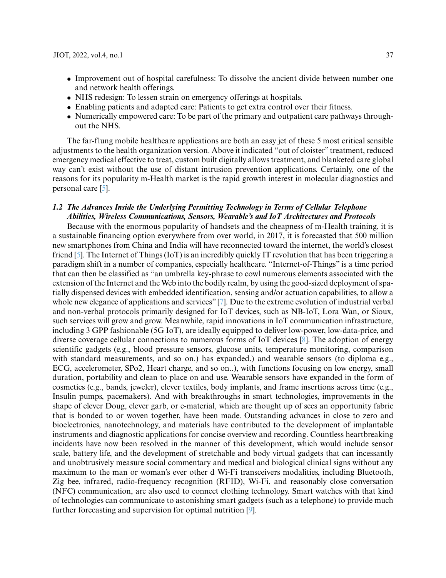- Improvement out of hospital carefulness: To dissolve the ancient divide between number one and network health offerings.
- NHS redesign: To lessen strain on emergency offerings at hospitals.
- Enabling patients and adapted care: Patients to get extra control over their fitness.
- Numerically empowered care: To be part of the primary and outpatient care pathways throughout the NHS.

The far-flung mobile healthcare applications are both an easy jet of these 5 most critical sensible adjustments to the health organization version. Above it indicated "out of cloister" treatment, reduced emergency medical effective to treat, custom built digitally allows treatment, and blanketed care global way can't exist without the use of distant intrusion prevention applications. Certainly, one of the reasons for its popularity m-Health market is the rapid growth interest in molecular diagnostics and personal care [\[5\]](#page-18-2).

# *1.2 The Advances Inside the Underlying Permitting Technology in Terms of Cellular Telephone Abilities, Wireless Communications, Sensors, Wearable's and IoT Architectures and Protocols*

Because with the enormous popularity of handsets and the cheapness of m-Health training, it is a sustainable financing option everywhere from over world, in 2017, it is forecasted that 500 million new smartphones from China and India will have reconnected toward the internet, the world's closest friend [\[5\]](#page-18-2). The Internet of Things (IoT) is an incredibly quickly IT revolution that has been triggering a paradigm shift in a number of companies, especially healthcare. "Internet-of-Things" is a time period that can then be classified as "an umbrella key-phrase to cowl numerous elements associated with the extension of the Internet and the Web into the bodily realm, by using the good-sized deployment of spatially dispensed devices with embedded identification, sensing and/or actuation capabilities, to allow a whole new elegance of applications and services" [\[7\]](#page-18-4). Due to the extreme evolution of industrial verbal and non-verbal protocols primarily designed for IoT devices, such as NB-IoT, Lora Wan, or Sioux, such services will grow and grow. Meanwhile, rapid innovations in IoT communication infrastructure, including 3 GPP fashionable (5G IoT), are ideally equipped to deliver low-power, low-data-price, and diverse coverage cellular connections to numerous forms of IoT devices [\[8\]](#page-18-5). The adoption of energy scientific gadgets (e.g., blood pressure sensors, glucose units, temperature monitoring, comparison with standard measurements, and so on.) has expanded.) and wearable sensors (to diploma e.g., ECG, accelerometer, SPo2, Heart charge, and so on..), with functions focusing on low energy, small duration, portability and clean to place on and use. Wearable sensors have expanded in the form of cosmetics (e.g., bands, jeweler), clever textiles, body implants, and frame insertions across time (e.g., Insulin pumps, pacemakers). And with breakthroughs in smart technologies, improvements in the shape of clever Doug, clever garb, or e-material, which are thought up of sees an opportunity fabric that is bonded to or woven together, have been made. Outstanding advances in close to zero and bioelectronics, nanotechnology, and materials have contributed to the development of implantable instruments and diagnostic applications for concise overview and recording. Countless heartbreaking incidents have now been resolved in the manner of this development, which would include sensor scale, battery life, and the development of stretchable and body virtual gadgets that can incessantly and unobtrusively measure social commentary and medical and biological clinical signs without any maximum to the man or woman's ever other d Wi-Fi transceivers modalities, including Bluetooth, Zig bee, infrared, radio-frequency recognition (RFID), Wi-Fi, and reasonably close conversation (NFC) communication, are also used to connect clothing technology. Smart watches with that kind of technologies can communicate to astonishing smart gadgets (such as a telephone) to provide much further forecasting and supervision for optimal nutrition [\[9\]](#page-18-6).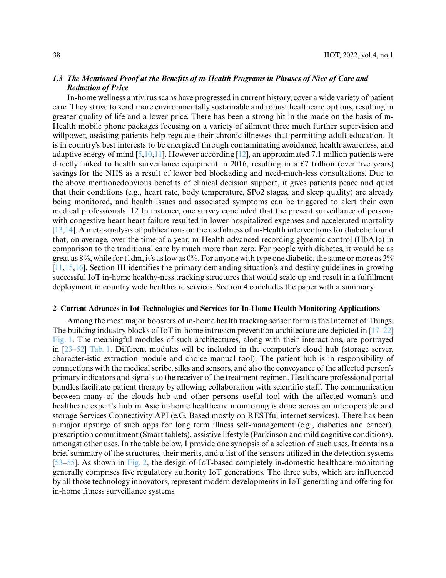# *1.3 The Mentioned Proof at the Benefits of m-Health Programs in Phrases of Nice of Care and Reduction of Price*

In-home wellness antivirus scans have progressed in current history, cover a wide variety of patient care. They strive to send more environmentally sustainable and robust healthcare options, resulting in greater quality of life and a lower price. There has been a strong hit in the made on the basis of m-Health mobile phone packages focusing on a variety of ailment three much further supervision and willpower, assisting patients help regulate their chronic illnesses that permitting adult education. It is in country's best interests to be energized through contaminating avoidance, health awareness, and adaptive energy of mind [\[5,](#page-18-2)[10,](#page-18-7)[11\]](#page-18-8). However according [\[12\]](#page-18-9), an approximated 7.1 million patients were directly linked to health surveillance equipment in 2016, resulting in a £7 trillion (over five years) savings for the NHS as a result of lower bed blockading and need-much-less consultations. Due to the above mentionedobvious benefits of clinical decision support, it gives patients peace and quiet that their conditions (e.g., heart rate, body temperature, SPo2 stages, and sleep quality) are already being monitored, and health issues and associated symptoms can be triggered to alert their own medical professionals [12 In instance, one survey concluded that the present surveillance of persons with congestive heart heart failure resulted in lower hospitalized expenses and accelerated mortality [\[13](#page-18-10)[,14\]](#page-18-11). A meta-analysis of publications on the usefulness of m-Health interventions for diabetic found that, on average, over the time of a year, m-Health advanced recording glycemic control (HbA1c) in comparison to the traditional care by much more than zero. For people with diabetes, it would be as great as 8%, while for t1dm, it's as low as 0%. For anyone with type one diabetic, the same or more as 3% [\[11](#page-18-8)[,15](#page-18-12)[,16\]](#page-18-13). Section III identifies the primary demanding situation's and destiny guidelines in growing successful IoT in-home healthy-ness tracking structures that would scale up and result in a fulfillment deployment in country wide healthcare services. Section 4 concludes the paper with a summary.

#### **2 Current Advances in Iot Technologies and Services for In-Home Health Monitoring Applications**

Among the most major boosters of in-home health tracking sensor form is the Internet of Things. The building industry blocks of IoT in-home intrusion prevention architecture are depicted in  $[17-22]$  $[17-22]$ [Fig. 1.](#page-4-0) The meaningful modules of such architectures, along with their interactions, are portrayed in [23[–52\]](#page-19-0) [Tab. 1.](#page-4-1) Different modules will be included in the computer's cloud hub (storage server, character-istic extraction module and choice manual tool). The patient hub is in responsibility of connections with the medical scribe, silks and sensors, and also the conveyance of the affected person's primary indicators and signals to the receiver of the treatment regimen. Healthcare professional portal bundles facilitate patient therapy by allowing collaboration with scientific staff. The communication between many of the clouds hub and other persons useful tool with the affected woman's and healthcare expert's hub in Asic in-home healthcare monitoring is done across an interoperable and storage Services Connectivity API (e.G. Based mostly on RESTful internet services). There has been a major upsurge of such apps for long term illness self-management (e.g., diabetics and cancer), prescription commitment (Smart tablets), assistive lifestyle (Parkinson and mild cognitive conditions), amongst other uses. In the table below, I provide one synopsis of a selection of such uses. It contains a brief summary of the structures, their merits, and a list of the sensors utilized in the detection systems [\[53–](#page-19-1)[55\]](#page-20-0). As shown in [Fig. 2,](#page-7-0) the design of IoT-based completely in-domestic healthcare monitoring generally comprises five regulatory authority IoT generations. The three subs, which are influenced by all those technology innovators, represent modern developments in IoT generating and offering for in-home fitness surveillance systems.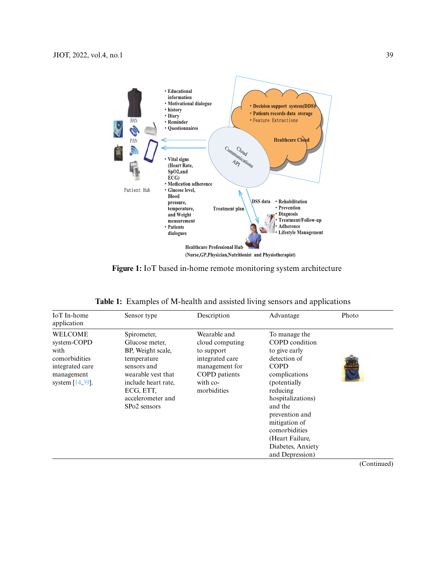

**Figure 1:** IoT based in-home remote monitoring system architecture

<span id="page-4-0"></span>

| IoT In-home<br>application                                                                                    | Sensor type                                                                                                                                                                                  | Description                                                                                                                    | Advantage                                                                                                                                                                                                                                                                    | Photo                              |
|---------------------------------------------------------------------------------------------------------------|----------------------------------------------------------------------------------------------------------------------------------------------------------------------------------------------|--------------------------------------------------------------------------------------------------------------------------------|------------------------------------------------------------------------------------------------------------------------------------------------------------------------------------------------------------------------------------------------------------------------------|------------------------------------|
| <b>WELCOME</b><br>system-COPD<br>with<br>comorbidities<br>integrated care<br>management<br>system $[14,39]$ . | Spirometer,<br>Glucose meter,<br>BP, Weight scale,<br>temperature<br>sensors and<br>wearable vest that<br>include heart rate.<br>ECG, ETT,<br>accelerometer and<br>SP <sub>o</sub> 2 sensors | Wearable and<br>cloud computing<br>to support<br>integrated care<br>management for<br>COPD patients<br>with co-<br>morbidities | To manage the<br>COPD condition<br>to give early<br>detection of<br><b>COPD</b><br>complications<br>(potentially)<br>reducing<br>hospitalizations)<br>and the<br>prevention and<br>mitigation of<br>comorbidities<br>(Heart Failure,<br>Diabetes, Anxiety<br>and Depression) |                                    |
|                                                                                                               |                                                                                                                                                                                              |                                                                                                                                |                                                                                                                                                                                                                                                                              | $(C_{\alpha n} + \cdots + \alpha)$ |

<span id="page-4-1"></span>**Table 1:** Examples of M-health and assisted living sensors and applications

(Continued)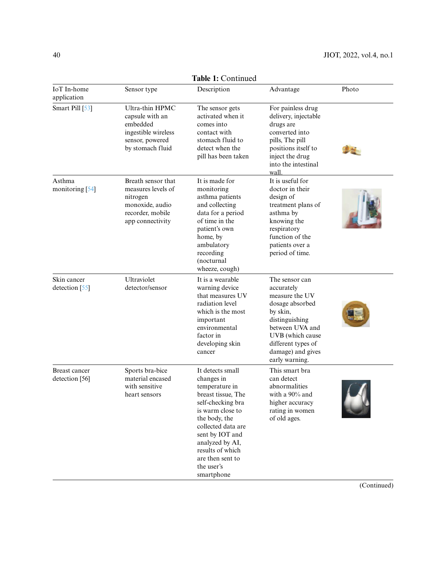|                                 | Table 1: Continued                                                                                              |                                                                                                                                                                                                                                                                  |                                                                                                                                                                                                     |       |  |  |  |  |
|---------------------------------|-----------------------------------------------------------------------------------------------------------------|------------------------------------------------------------------------------------------------------------------------------------------------------------------------------------------------------------------------------------------------------------------|-----------------------------------------------------------------------------------------------------------------------------------------------------------------------------------------------------|-------|--|--|--|--|
| IoT In-home<br>application      | Sensor type                                                                                                     | Description                                                                                                                                                                                                                                                      | Advantage                                                                                                                                                                                           | Photo |  |  |  |  |
| Smart Pill [53]                 | Ultra-thin HPMC<br>capsule with an<br>embedded<br>ingestible wireless<br>sensor, powered<br>by stomach fluid    |                                                                                                                                                                                                                                                                  | For painless drug<br>delivery, injectable<br>drugs are<br>converted into<br>pills, The pill<br>positions itself to<br>inject the drug<br>into the intestinal<br>wall                                |       |  |  |  |  |
| Asthma<br>monitoring [54]       | Breath sensor that<br>measures levels of<br>nitrogen<br>monoxide, audio<br>recorder, mobile<br>app connectivity | It is made for<br>monitoring<br>asthma patients<br>and collecting<br>data for a period<br>of time in the<br>patient's own<br>home, by<br>ambulatory<br>recording<br>(nocturnal<br>wheeze, cough)                                                                 | It is useful for<br>doctor in their<br>design of<br>treatment plans of<br>asthma by<br>knowing the<br>respiratory<br>function of the<br>patients over a<br>period of time.                          |       |  |  |  |  |
| Skin cancer<br>detection [55]   | Ultraviolet<br>detector/sensor                                                                                  | It is a wearable<br>warning device<br>that measures UV<br>radiation level<br>which is the most<br>important<br>environmental<br>factor in<br>developing skin<br>cancer                                                                                           | The sensor can<br>accurately<br>measure the UV<br>dosage absorbed<br>by skin,<br>distinguishing<br>between UVA and<br>UVB (which cause<br>different types of<br>damage) and gives<br>early warning. |       |  |  |  |  |
| Breast cancer<br>detection [56] | Sports bra-bice<br>material encased<br>with sensitive<br>heart sensors                                          | It detects small<br>changes in<br>temperature in<br>breast tissue, The<br>self-checking bra<br>is warm close to<br>the body, the<br>collected data are<br>sent by IOT and<br>analyzed by AI,<br>results of which<br>are then sent to<br>the user's<br>smartphone | This smart bra<br>can detect<br>abnormalities<br>with a 90% and<br>higher accuracy<br>rating in women<br>of old ages.                                                                               |       |  |  |  |  |

**Table 1:** Continued

(Continued)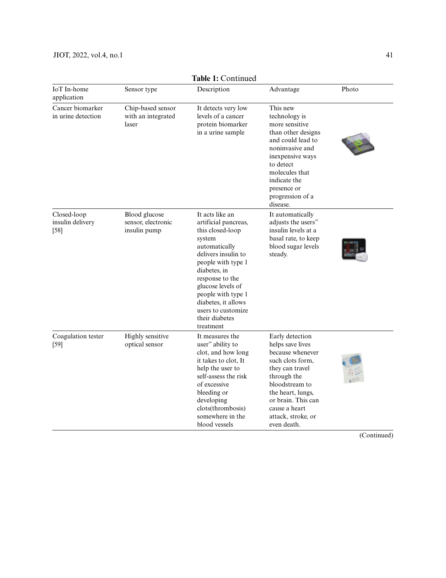# JIOT, 2022, vol.4, no.1 41

|                                                                                                  |                                                  | Table 1: Continued                                                                                                                                                                                                                                                                            |                                                                                                                                                                                                                                  |        |
|--------------------------------------------------------------------------------------------------|--------------------------------------------------|-----------------------------------------------------------------------------------------------------------------------------------------------------------------------------------------------------------------------------------------------------------------------------------------------|----------------------------------------------------------------------------------------------------------------------------------------------------------------------------------------------------------------------------------|--------|
| <b>IoT</b> In-home<br>application                                                                | Sensor type                                      | Description                                                                                                                                                                                                                                                                                   | Advantage                                                                                                                                                                                                                        | Photo  |
| Cancer biomarker<br>in urine detection                                                           | Chip-based sensor<br>with an integrated<br>laser | It detects very low<br>levels of a cancer<br>protein biomarker<br>in a urine sample                                                                                                                                                                                                           | This new<br>technology is<br>more sensitive<br>than other designs<br>and could lead to<br>noninvasive and<br>inexpensive ways<br>to detect<br>molecules that<br>indicate the<br>presence or<br>progression of a<br>disease.      |        |
| Closed-loop<br>Blood glucose<br>sensor, electronic<br>insulin delivery<br>insulin pump<br>$[58]$ |                                                  | It acts like an<br>artificial pancreas,<br>this closed-loop<br>system<br>automatically<br>delivers insulin to<br>people with type 1<br>diabetes, in<br>response to the<br>glucose levels of<br>people with type 1<br>diabetes, it allows<br>users to customize<br>their diabetes<br>treatment | It automatically<br>adjusts the users"<br>insulin levels at a<br>basal rate, to keep<br>blood sugar levels<br>steady.                                                                                                            |        |
| Coagulation tester<br>$[59]$                                                                     | Highly sensitive<br>optical sensor               | It measures the<br>user" ability to<br>clot, and how long<br>it takes to clot, It<br>help the user to<br>self-assess the risk<br>of excessive<br>bleeding or<br>developing<br>clots(thrombosis)<br>somewhere in the<br>blood vessels                                                          | Early detection<br>helps save lives<br>because whenever<br>such clots form,<br>they can travel<br>through the<br>bloodstream to<br>the heart, lungs,<br>or brain. This can<br>cause a heart<br>attack, stroke, or<br>even death. | $\sim$ |

**Table 1:** Continued

(Continued)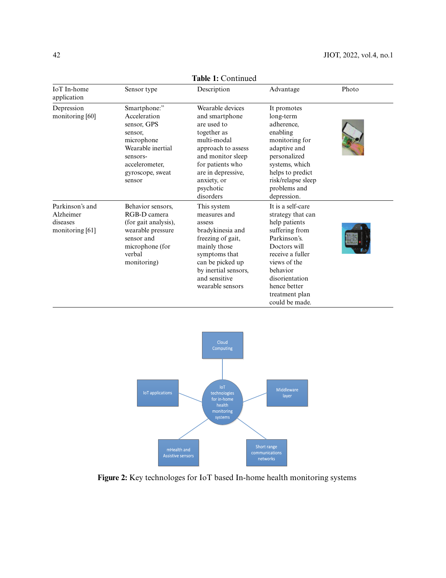| IoT In-home<br>application                                  | Sensor type                                                                                                                                           | Description                                                                                                                                                                                                   | Advantage                                                                                                                                                                                                                       | Photo |  |
|-------------------------------------------------------------|-------------------------------------------------------------------------------------------------------------------------------------------------------|---------------------------------------------------------------------------------------------------------------------------------------------------------------------------------------------------------------|---------------------------------------------------------------------------------------------------------------------------------------------------------------------------------------------------------------------------------|-------|--|
| Depression<br>monitoring [60]                               | Smartphone:"<br>Acceleration<br>sensor, GPS<br>sensor.<br>microphone<br>Wearable inertial<br>sensors-<br>accelerometer,<br>gyroscope, sweat<br>sensor | Wearable devices<br>and smartphone<br>are used to<br>together as<br>multi-modal<br>approach to assess<br>and monitor sleep<br>for patients who<br>are in depressive,<br>anxiety, or<br>psychotic<br>disorders | It promotes<br>long-term<br>adherence,<br>enabling<br>monitoring for<br>adaptive and<br>personalized<br>systems, which<br>helps to predict<br>risk/relapse sleep<br>problems and<br>depression.                                 |       |  |
| Parkinson's and<br>Alzheimer<br>diseases<br>monitoring [61] | Behavior sensors,<br>RGB-D camera<br>(for gait analysis),<br>wearable pressure<br>sensor and<br>microphone (for<br>verbal<br>monitoring)              | This system<br>measures and<br>assess<br>bradykinesia and<br>freezing of gait,<br>mainly those<br>symptoms that<br>can be picked up<br>by inertial sensors,<br>and sensitive<br>wearable sensors              | It is a self-care<br>strategy that can<br>help patients<br>suffering from<br>Parkinson's.<br>Doctors will<br>receive a fuller<br>views of the<br>behavior<br>disorientation<br>hence better<br>treatment plan<br>could be made. |       |  |





<span id="page-7-0"></span>**Figure 2:** Key technologes for IoT based In-home health monitoring systems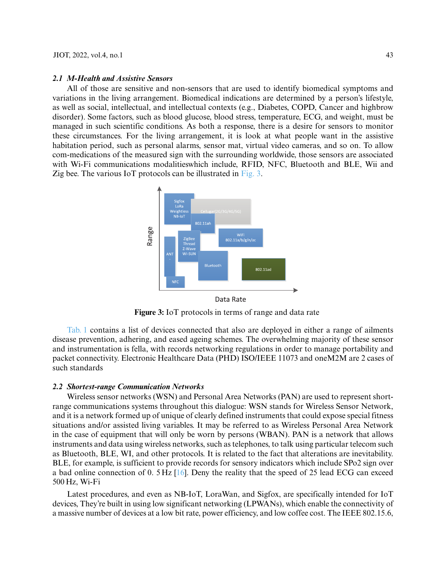#### *2.1 M-Health and Assistive Sensors*

All of those are sensitive and non-sensors that are used to identify biomedical symptoms and variations in the living arrangement. Biomedical indications are determined by a person's lifestyle, as well as social, intellectual, and intellectual contexts (e.g., Diabetes, COPD, Cancer and highbrow disorder). Some factors, such as blood glucose, blood stress, temperature, ECG, and weight, must be managed in such scientific conditions. As both a response, there is a desire for sensors to monitor these circumstances. For the living arrangement, it is look at what people want in the assistive habitation period, such as personal alarms, sensor mat, virtual video cameras, and so on. To allow com-medications of the measured sign with the surrounding worldwide, those sensors are associated with Wi-Fi communications modalitieswhich include, RFID, NFC, Bluetooth and BLE, Wii and Zig bee. The various IoT protocols can be illustrated in [Fig. 3.](#page-8-0)



**Figure 3:** IoT protocols in terms of range and data rate

<span id="page-8-0"></span>[Tab. 1](#page-4-1) contains a list of devices connected that also are deployed in either a range of ailments disease prevention, adhering, and eased ageing schemes. The overwhelming majority of these sensor and instrumentation is fella, with records networking regulations in order to manage portability and packet connectivity. Electronic Healthcare Data (PHD) ISO/IEEE 11073 and oneM2M are 2 cases of such standards

#### *2.2 Shortest-range Communication Networks*

Wireless sensor networks (WSN) and Personal Area Networks (PAN) are used to represent shortrange communications systems throughout this dialogue: WSN stands for Wireless Sensor Network, and it is a network formed up of unique of clearly defined instruments that could expose special fitness situations and/or assisted living variables. It may be referred to as Wireless Personal Area Network in the case of equipment that will only be worn by persons (WBAN). PAN is a network that allows instruments and data using wireless networks, such as telephones, to talk using particular telecom such as Bluetooth, BLE, WI, and other protocols. It is related to the fact that alterations are inevitability. BLE, for example, is sufficient to provide records for sensory indicators which include SPo2 sign over a bad online connection of 0. 5 Hz [\[16\]](#page-18-13). Deny the reality that the speed of 25 lead ECG can exceed 500 Hz, Wi-Fi

Latest procedures, and even as NB-IoT, LoraWan, and Sigfox, are specifically intended for IoT devices, They're built in using low significant networking (LPWANs), which enable the connectivity of a massive number of devices at a low bit rate, power efficiency, and low coffee cost. The IEEE 802.15.6,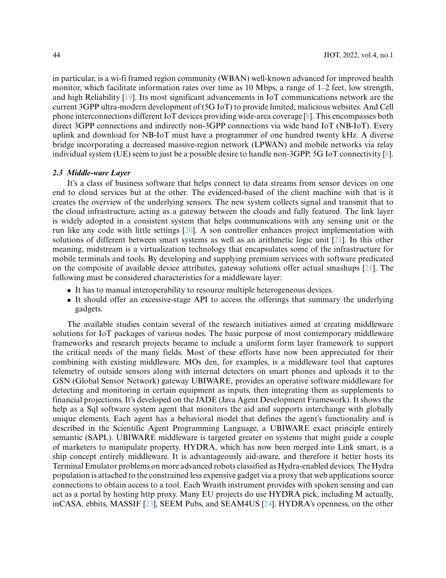in particular, is a wi-fi framed region community (WBAN) well-known advanced for improved health monitor, which facilitate information rates over time as 10 Mbps, a range of  $1-2$  feet, low strength, and high Reliability [\[19\]](#page-18-16). Its most significant advancements in IoT communications network are the current 3GPP ultra-modern development of (5G IoT) to provide limited, malicious websites. And Cell phone interconnections different IoT devices providing wide-area coverage [\[8\]](#page-18-5). This encompasses both direct 3GPP connections and indirectly non-3GPP connections via wide band IoT (NB-IoT). Every uplink and download for NB-IoT must have a programmer of one hundred twenty kHz. A diverse bridge incorporating a decreased massive-region network (LPWAN) and mobile networks via relay individual system (UE) seem to just be a possible desire to handle non-3GPP, 5G IoT connectivity [\[8\]](#page-18-5).

#### *2.3 Middle-ware Layer*

It's a class of business software that helps connect to data streams from sensor devices on one end to cloud services but at the other. The evidenced-based of the client machine with that is it creates the overview of the underlying sensors. The new system collects signal and transmit that to the cloud infrastructure, acting as a gateway between the clouds and fully featured. The link layer is widely adopted in a consistent system that helps communications with any sensing unit or the run like any code with little settings [\[20\]](#page-18-17). A son controller enhances project implementation with solutions of different between smart systems as well as an arithmetic logic unit [\[21\]](#page-18-18). In this other meaning, midstream is a virtualization technology that encapsulates some of the infrastructure for mobile terminals and tools. By developing and supplying premium services with software predicated on the composite of available device attributes, gateway solutions offer actual smashups  $[21]$ . The following must be considered characteristics for a middleware layer:

- It has to manual interoperability to resource multiple heterogeneous devices.
- It should offer an excessive-stage API to access the offerings that summary the underlying gadgets.

The available studies contain several of the research initiatives aimed at creating middleware solutions for IoT packages of various nodes. The basic purpose of most contemporary middleware frameworks and research projects became to include a uniform form layer framework to support the critical needs of the many fields. Most of these efforts have now been appreciated for their combining with existing middleware. MOs den, for examples, is a middleware tool that captures telemetry of outside sensors along with internal detectors on smart phones and uploads it to the GSN (Global Sensor Network) gateway UBIWARE, provides an operative software middleware for detecting and monitoring in certain equipment as inputs, then integrating them as supplements to financial projections. It's developed on the JADE (Java Agent Development Framework). It shows the help as a Sql software system agent that monitors the aid and supports interchange with globally unique elements. Each agent has a behavioral model that defines the agent's functionality and is described in the Scientific Agent Programming Language, a UBIWARE exact principle entirely semantic (SAPL). UBIWARE middleware is targeted greater on systems that might guide a couple of marketers to manipulate property. HYDRA, which has now been merged into Link smart, is a ship concept entirely middleware. It is advantageously aid-aware, and therefore it better hosts its Terminal Emulator problems on more advanced robots classified as Hydra-enabled devices. The Hydra population is attached to the constrained less expensive gadget via a proxy that web applications source connections to obtain access to a tool. Each Wraith instrument provides with spoken sensing and can act as a portal by hosting http proxy. Many EU projects do use HYDRA pick, including M actually, inCASA, ebbits, MASSIF [\[23\]](#page-19-4), SEEM Pubs, and SEAM4US [\[24\]](#page-19-5). HYDRA's openness, on the other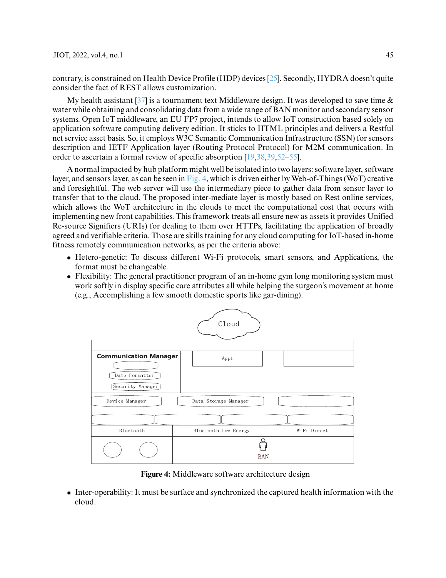contrary, is constrained on Health Device Profile (HDP) devices [\[25\]](#page-19-6). Secondly, HYDRA doesn't quite consider the fact of REST allows customization.

My health assistant  $[37]$  is a tournament text Middleware design. It was developed to save time  $\&$ water while obtaining and consolidating data from a wide range of BAN monitor and secondary sensor systems. Open IoT middleware, an EU FP7 project, intends to allow IoT construction based solely on application software computing delivery edition. It sticks to HTML principles and delivers a Restful net service asset basis. So, it employs W3C Semantic Communication Infrastructure (SSN) for sensors description and IETF Application layer (Routing Protocol Protocol) for M2M communication. In order to ascertain a formal review of specific absorption [\[19](#page-18-16)[,38](#page-19-8)[,39](#page-19-9)[,52–](#page-20-0)[55\]](#page-20-2).

A normal impacted by hub platform might well be isolated into two layers: software layer, software layer, and sensors layer, as can be seen in [Fig. 4,](#page-10-0) which is driven either by Web-of-Things (WoT) creative and foresightful. The web server will use the intermediary piece to gather data from sensor layer to transfer that to the cloud. The proposed inter-mediate layer is mostly based on Rest online services, which allows the WoT architecture in the clouds to meet the computational cost that occurs with implementing new front capabilities. This framework treats all ensure new as assets it provides Unified Re-source Signifiers (URIs) for dealing to them over HTTPs, facilitating the application of broadly agreed and verifiable criteria. Those are skills training for any cloud computing for IoT-based in-home fitness remotely communication networks, as per the criteria above:

- Hetero-genetic: To discuss different Wi-Fi protocols, smart sensors, and Applications, the format must be changeable.
- Flexibility: The general practitioner program of an in-home gym long monitoring system must work softly in display specific care attributes all while helping the surgeon's movement at home (e.g., Accomplishing a few smooth domestic sports like gar-dining).



**Figure 4:** Middleware software architecture design

<span id="page-10-0"></span>• Inter-operability: It must be surface and synchronized the captured health information with the cloud.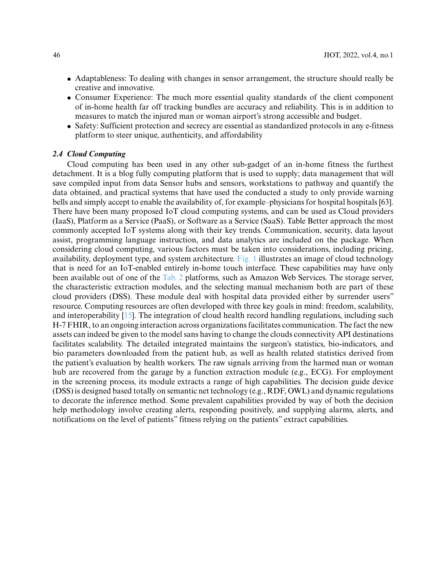- Adaptableness: To dealing with changes in sensor arrangement, the structure should really be creative and innovative.
- Consumer Experience: The much more essential quality standards of the client component of in-home health far off tracking bundles are accuracy and reliability. This is in addition to measures to match the injured man or woman airport's strong accessible and budget.
- Safety: Sufficient protection and secrecy are essential as standardized protocols in any e-fitness platform to steer unique, authenticity, and affordability

# *2.4 Cloud Computing*

Cloud computing has been used in any other sub-gadget of an in-home fitness the furthest detachment. It is a blog fully computing platform that is used to supply; data management that will save compiled input from data Sensor hubs and sensors, workstations to pathway and quantify the data obtained, and practical systems that have used the conducted a study to only provide warning bells and simply accept to enable the availability of, for example–physicians for hospital hospitals [63]. There have been many proposed IoT cloud computing systems, and can be used as Cloud providers (IaaS), Platform as a Service (PaaS), or Software as a Service (SaaS). Table Better approach the most commonly accepted IoT systems along with their key trends. Communication, security, data layout assist, programming language instruction, and data analytics are included on the package. When considering cloud computing, various factors must be taken into considerations, including pricing, availability, deployment type, and system architecture. [Fig. 1](#page-4-0) illustrates an image of cloud technology that is need for an IoT-enabled entirely in-home touch interface. These capabilities may have only been available out of one of the [Tab. 2](#page-12-0) platforms, such as Amazon Web Services. The storage server, the characteristic extraction modules, and the selecting manual mechanism both are part of these cloud providers (DSS). These module deal with hospital data provided either by surrender users" resource. Computing resources are often developed with three key goals in mind: freedom, scalability, and interoperability [\[15\]](#page-18-12). The integration of cloud health record handling regulations, including such H-7 FHIR, to an ongoing interaction across organizations facilitates communication. The fact the new assets can indeed be given to the model sans having to change the clouds connectivity API destinations facilitates scalability. The detailed integrated maintains the surgeon's statistics, bio-indicators, and bio parameters downloaded from the patient hub, as well as health related statistics derived from the patient's evaluation by health workers. The raw signals arriving from the harmed man or woman hub are recovered from the garage by a function extraction module (e.g., ECG). For employment in the screening process, its module extracts a range of high capabilities. The decision guide device (DSS) is designed based totally on semantic net technology (e.g., RDF, OWL) and dynamic regulations to decorate the inference method. Some prevalent capabilities provided by way of both the decision help methodology involve creating alerts, responding positively, and supplying alarms, alerts, and notifications on the level of patients" fitness relying on the patients" extract capabilities.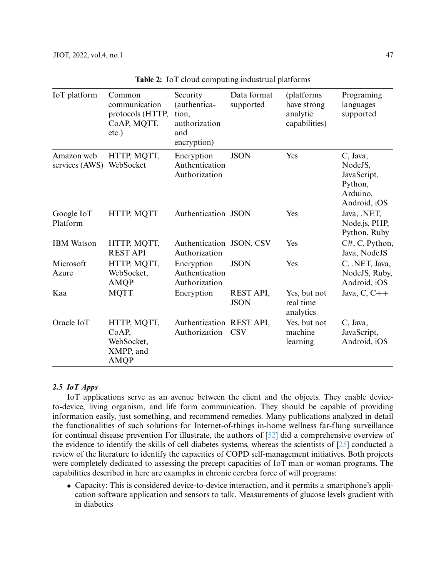<span id="page-12-0"></span>

| IoT platform                 | Common<br>communication<br>protocols (HTTP,<br>CoAP, MQTT,<br>$etc.$ ) | Security<br>(authentica-<br>tion,<br>authorization<br>and<br>encryption) | Data format<br>supported | (platforms<br>have strong<br>analytic<br>capabilities) | Programing<br>languages<br>supported                                      |
|------------------------------|------------------------------------------------------------------------|--------------------------------------------------------------------------|--------------------------|--------------------------------------------------------|---------------------------------------------------------------------------|
| Amazon web<br>services (AWS) | HTTP, MQTT,<br>WebSocket                                               | Encryption<br>Authentication<br>Authorization                            | <b>JSON</b>              | Yes                                                    | C, Java,<br>NodeJS,<br>JavaScript,<br>Python,<br>Arduino,<br>Android, iOS |
| Google IoT<br>Platform       | HTTP, MQTT                                                             | Authentication JSON                                                      |                          | Yes                                                    | Java, .NET,<br>Node.js, PHP,<br>Python, Ruby                              |
| <b>IBM</b> Watson            | HTTP, MQTT,<br><b>REST API</b>                                         | Authentication JSON, CSV<br>Authorization                                |                          | Yes                                                    | C#, C, Python,<br>Java, NodeJS                                            |
| Microsoft<br>Azure           | HTTP, MQTT,<br>WebSocket,<br><b>AMQP</b>                               | Encryption<br>Authentication<br>Authorization                            | <b>JSON</b>              | Yes                                                    | C, .NET, Java,<br>NodeJS, Ruby,<br>Android, iOS                           |
| Kaa                          | <b>MQTT</b>                                                            | Encryption                                                               | REST API,<br><b>JSON</b> | Yes, but not<br>real time<br>analytics                 | Java, $C, C++$                                                            |
| Oracle IoT                   | HTTP, MQTT,<br>CoAP,<br>WebSocket,<br>XMPP, and<br><b>AMQP</b>         | Authentication REST API,<br>Authorization                                | <b>CSV</b>               | Yes, but not<br>machine<br>learning                    | C, Java,<br>JavaScript,<br>Android, iOS                                   |

**Table 2:** IoT cloud computing industrual platforms

# *2.5 IoT Apps*

IoT applications serve as an avenue between the client and the objects. They enable deviceto-device, living organism, and life form communication. They should be capable of providing information easily, just something, and recommend remedies. Many publications analyzed in detail the functionalities of such solutions for Internet-of-things in-home wellness far-flung surveillance for continual disease prevention For illustrate, the authors of [\[52\]](#page-19-0) did a comprehensive overview of the evidence to identify the skills of cell diabetes systems, whereas the scientists of [\[25\]](#page-19-6) conducted a review of the literature to identify the capacities of COPD self-management initiatives. Both projects were completely dedicated to assessing the precept capacities of IoT man or woman programs. The capabilities described in here are examples in chronic cerebra force of will programs:

• Capacity: This is considered device-to-device interaction, and it permits a smartphone's application software application and sensors to talk. Measurements of glucose levels gradient with in diabetics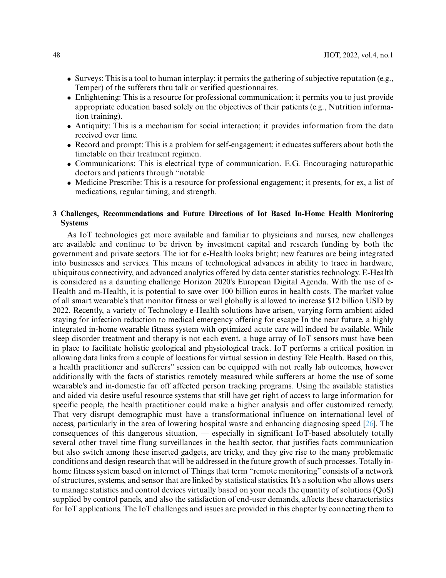- Surveys: This is a tool to human interplay; it permits the gathering of subjective reputation (e.g., Temper) of the sufferers thru talk or verified questionnaires.
- Enlightening: This is a resource for professional communication; it permits you to just provide appropriate education based solely on the objectives of their patients (e.g., Nutrition information training).
- Antiquity: This is a mechanism for social interaction; it provides information from the data received over time.
- Record and prompt: This is a problem for self-engagement; it educates sufferers about both the timetable on their treatment regimen.
- Communications: This is electrical type of communication. E.G. Encouraging naturopathic doctors and patients through "notable
- Medicine Prescribe: This is a resource for professional engagement; it presents, for ex, a list of medications, regular timing, and strength.

# **3 Challenges, Recommendations and Future Directions of Iot Based In-Home Health Monitoring Systems**

As IoT technologies get more available and familiar to physicians and nurses, new challenges are available and continue to be driven by investment capital and research funding by both the government and private sectors. The iot for e-Health looks bright; new features are being integrated into businesses and services. This means of technological advances in ability to trace in hardware, ubiquitous connectivity, and advanced analytics offered by data center statistics technology. E-Health is considered as a daunting challenge Horizon 2020's European Digital Agenda. With the use of e-Health and m-Health, it is potential to save over 100 billion euros in health costs. The market value of all smart wearable's that monitor fitness or well globally is allowed to increase \$12 billion USD by 2022. Recently, a variety of Technology e-Health solutions have arisen, varying form ambient aided staying for infection reduction to medical emergency offering for escape In the near future, a highly integrated in-home wearable fitness system with optimized acute care will indeed be available. While sleep disorder treatment and therapy is not each event, a huge array of IoT sensors must have been in place to facilitate holistic geological and physiological track. IoT performs a critical position in allowing data links from a couple of locations for virtual session in destiny Tele Health. Based on this, a health practitioner and sufferers" session can be equipped with not really lab outcomes, however additionally with the facts of statistics remotely measured while sufferers at home the use of some wearable's and in-domestic far off affected person tracking programs. Using the available statistics and aided via desire useful resource systems that still have get right of access to large information for specific people, the health practitioner could make a higher analysis and offer customized remedy. That very disrupt demographic must have a transformational influence on international level of access, particularly in the area of lowering hospital waste and enhancing diagnosing speed [\[26\]](#page-19-10). The consequences of this dangerous situation, — especially in significant IoT-based absolutely totally several other travel time flung surveillances in the health sector, that justifies facts communication but also switch among these inserted gadgets, are tricky, and they give rise to the many problematic conditions and design research that will be addressed in the future growth of such processes. Totally inhome fitness system based on internet of Things that term "remote monitoring" consists of a network of structures, systems, and sensor that are linked by statistical statistics. It's a solution who allows users to manage statistics and control devices virtually based on your needs the quantity of solutions (QoS) supplied by control panels, and also the satisfaction of end-user demands, affects these characteristics for IoT applications. The IoT challenges and issues are provided in this chapter by connecting them to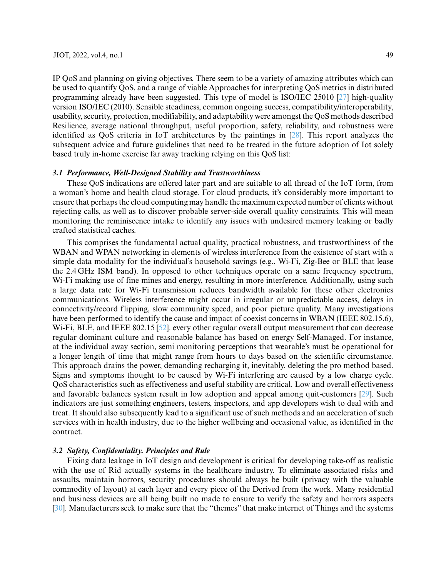IP QoS and planning on giving objectives. There seem to be a variety of amazing attributes which can be used to quantify QoS, and a range of viable Approaches for interpreting QoS metrics in distributed programming already have been suggested. This type of model is ISO/IEC 25010 [\[27\]](#page-19-11) high-quality version ISO/IEC (2010). Sensible steadiness, common ongoing success, compatibility/interoperability, usability, security, protection, modifiability, and adaptability were amongst the QoS methods described Resilience, average national throughput, useful proportion, safety, reliability, and robustness were identified as QoS criteria in IoT architectures by the paintings in [\[28\]](#page-19-12). This report analyzes the subsequent advice and future guidelines that need to be treated in the future adoption of Iot solely based truly in-home exercise far away tracking relying on this QoS list:

### *3.1 Performance, Well-Designed Stability and Trustworthiness*

These QoS indications are offered later part and are suitable to all thread of the IoT form, from a woman's home and health cloud storage. For cloud products, it's considerably more important to ensure that perhaps the cloud computing may handle the maximum expected number of clients without rejecting calls, as well as to discover probable server-side overall quality constraints. This will mean monitoring the reminiscence intake to identify any issues with undesired memory leaking or badly crafted statistical caches.

This comprises the fundamental actual quality, practical robustness, and trustworthiness of the WBAN and WPAN networking in elements of wireless interference from the existence of start with a simple data modality for the individual's household savings (e.g., Wi-Fi, Zig-Bee or BLE that lease the 2.4 GHz ISM band). In opposed to other techniques operate on a same frequency spectrum, W<sub>i-Fi</sub> making use of fine mines and energy, resulting in more interference. Additionally, using such a large data rate for Wi-Fi transmission reduces bandwidth available for these other electronics communications. Wireless interference might occur in irregular or unpredictable access, delays in connectivity/record flipping, slow community speed, and poor picture quality. Many investigations have been performed to identify the cause and impact of coexist concerns in WBAN (IEEE 802.15.6), Wi-Fi, BLE, and IEEE 802.15 [\[52\]](#page-20-3). every other regular overall output measurement that can decrease regular dominant culture and reasonable balance has based on energy Self-Managed. For instance, at the individual away section, semi monitoring perceptions that wearable's must be operational for a longer length of time that might range from hours to days based on the scientific circumstance. This approach drains the power, demanding recharging it, inevitably, deleting the pro method based. Signs and symptoms thought to be caused by Wi-Fi interfering are caused by a low charge cycle. QoS characteristics such as effectiveness and useful stability are critical. Low and overall effectiveness and favorable balances system result in low adoption and appeal among quit-customers [\[29\]](#page-19-2). Such indicators are just something engineers, testers, inspectors, and app developers wish to deal with and treat. It should also subsequently lead to a significant use of such methods and an acceleration of such services with in health industry, due to the higher wellbeing and occasional value, as identified in the contract.

# *3.2 Safety, Confidentiality. Principles and Rule*

Fixing data leakage in IoT design and development is critical for developing take-off as realistic with the use of Rid actually systems in the healthcare industry. To eliminate associated risks and assaults, maintain horrors, security procedures should always be built (privacy with the valuable commodity of layout) at each layer and every piece of the Derived from the work. Many residential and business devices are all being built no made to ensure to verify the safety and horrors aspects [\[30\]](#page-19-13). Manufacturers seek to make sure that the "themes" that make internet of Things and the systems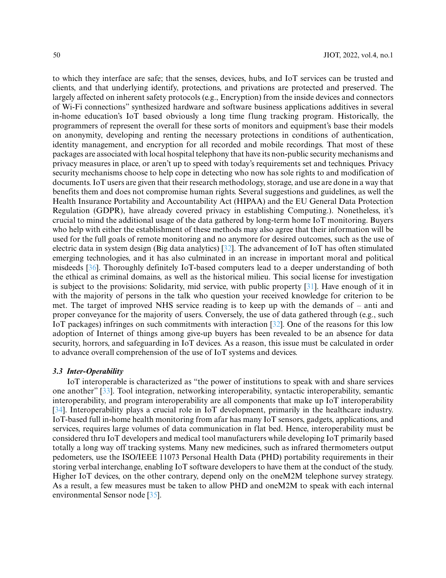to which they interface are safe; that the senses, devices, hubs, and IoT services can be trusted and clients, and that underlying identify, protections, and privations are protected and preserved. The largely affected on inherent safety protocols (e.g., Encryption) from the inside devices and connectors of Wi-Fi connections" synthesized hardware and software business applications additives in several in-home education's IoT based obviously a long time flung tracking program. Historically, the programmers of represent the overall for these sorts of monitors and equipment's base their models on anonymity, developing and renting the necessary protections in conditions of authentication, identity management, and encryption for all recorded and mobile recordings. That most of these packages are associated with local hospital telephony that have its non-public security mechanisms and privacy measures in place, or aren't up to speed with today's requirements set and techniques. Privacy security mechanisms choose to help cope in detecting who now has sole rights to and modification of documents. IoT users are given that their research methodology, storage, and use are done in a way that benefits them and does not compromise human rights. Several suggestions and guidelines, as well the Health Insurance Portability and Accountability Act (HIPAA) and the EU General Data Protection Regulation (GDPR), have already covered privacy in establishing Computing.). Nonetheless, it's crucial to mind the additional usage of the data gathered by long-term home IoT monitoring. Buyers who help with either the establishment of these methods may also agree that their information will be used for the full goals of remote monitoring and no anymore for desired outcomes, such as the use of electric data in system design (Big data analytics) [\[32\]](#page-19-14). The advancement of IoT has often stimulated emerging technologies, and it has also culminated in an increase in important moral and political misdeeds [\[36\]](#page-19-15). Thoroughly definitely IoT-based computers lead to a deeper understanding of both the ethical as criminal domains, as well as the historical milieu. This social license for investigation is subject to the provisions: Solidarity, mid service, with public property [\[31\]](#page-19-16). Have enough of it in with the majority of persons in the talk who question your received knowledge for criterion to be met. The target of improved NHS service reading is to keep up with the demands of – anti and proper conveyance for the majority of users. Conversely, the use of data gathered through (e.g., such IoT packages) infringes on such commitments with interaction [\[32\]](#page-19-14). One of the reasons for this low adoption of Internet of things among give-up buyers has been revealed to be an absence for data security, horrors, and safeguarding in IoT devices. As a reason, this issue must be calculated in order to advance overall comprehension of the use of IoT systems and devices.

### *3.3 Inter-Operability*

IoT interoperable is characterized as "the power of institutions to speak with and share services one another" [\[33\]](#page-19-17). Tool integration, networking interoperability, syntactic interoperability, semantic interoperability, and program interoperability are all components that make up IoT interoperability [\[34\]](#page-19-18). Interoperability plays a crucial role in IoT development, primarily in the healthcare industry. IoT-based full in-home health monitoring from afar has many IoT sensors, gadgets, applications, and services, requires large volumes of data communication in flat bed. Hence, interoperability must be considered thru IoT developers and medical tool manufacturers while developing IoT primarily based totally a long way off tracking systems. Many new medicines, such as infrared thermometers output pedometers, use the ISO/IEEE 11073 Personal Health Data (PHD) portability requirements in their storing verbal interchange, enabling IoT software developers to have them at the conduct of the study. Higher IoT devices, on the other contrary, depend only on the oneM2M telephone survey strategy. As a result, a few measures must be taken to allow PHD and oneM2M to speak with each internal environmental Sensor node [\[35\]](#page-19-19).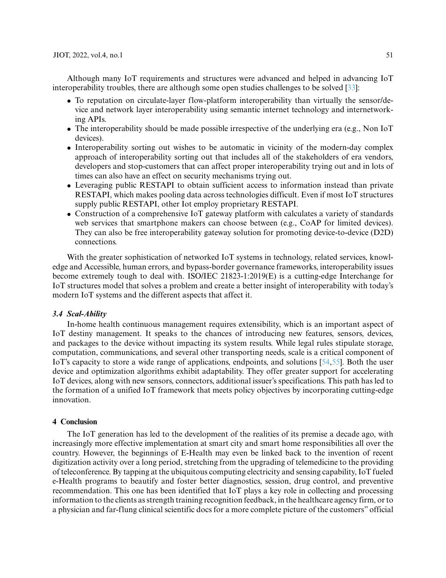Although many IoT requirements and structures were advanced and helped in advancing IoT interoperability troubles, there are although some open studies challenges to be solved [\[33\]](#page-19-17):

- To reputation on circulate-layer flow-platform interoperability than virtually the sensor/device and network layer interoperability using semantic internet technology and internetworking APIs.
- The interoperability should be made possible irrespective of the underlying era (e.g., Non IoT devices).
- Interoperability sorting out wishes to be automatic in vicinity of the modern-day complex approach of interoperability sorting out that includes all of the stakeholders of era vendors, developers and stop-customers that can affect proper interoperability trying out and in lots of times can also have an effect on security mechanisms trying out.
- Leveraging public RESTAPI to obtain sufficient access to information instead than private RESTAPI, which makes pooling data across technologies difficult. Even if most IoT structures supply public RESTAPI, other Iot employ proprietary RESTAPI.
- Construction of a comprehensive IoT gateway platform with calculates a variety of standards web services that smartphone makers can choose between (e.g., CoAP for limited devices). They can also be free interoperability gateway solution for promoting device-to-device (D2D) connections.

With the greater sophistication of networked IoT systems in technology, related services, knowledge and Accessible, human errors, and bypass-border governance frameworks, interoperability issues become extremely tough to deal with. ISO/IEC 21823-1:2019(E) is a cutting-edge Interchange for IoT structures model that solves a problem and create a better insight of interoperability with today's modern IoT systems and the different aspects that affect it.

### *3.4 Scal-Ability*

In-home health continuous management requires extensibility, which is an important aspect of IoT destiny management. It speaks to the chances of introducing new features, sensors, devices, and packages to the device without impacting its system results. While legal rules stipulate storage, computation, communications, and several other transporting needs, scale is a critical component of IoT's capacity to store a wide range of applications, endpoints, and solutions [\[54](#page-20-4)[,55\]](#page-20-5). Both the user device and optimization algorithms exhibit adaptability. They offer greater support for accelerating IoT devices, along with new sensors, connectors, additional issuer's specifications. This path has led to the formation of a unified IoT framework that meets policy objectives by incorporating cutting-edge innovation.

# **4 Conclusion**

The IoT generation has led to the development of the realities of its premise a decade ago, with increasingly more effective implementation at smart city and smart home responsibilities all over the country. However, the beginnings of E-Health may even be linked back to the invention of recent digitization activity over a long period, stretching from the upgrading of telemedicine to the providing of teleconference. By tapping at the ubiquitous computing electricity and sensing capability, IoT fueled e-Health programs to beautify and foster better diagnostics, session, drug control, and preventive recommendation. This one has been identified that IoT plays a key role in collecting and processing information to the clients as strength training recognition feedback, in the healthcare agency firm, or to a physician and far-flung clinical scientific docs for a more complete picture of the customers" official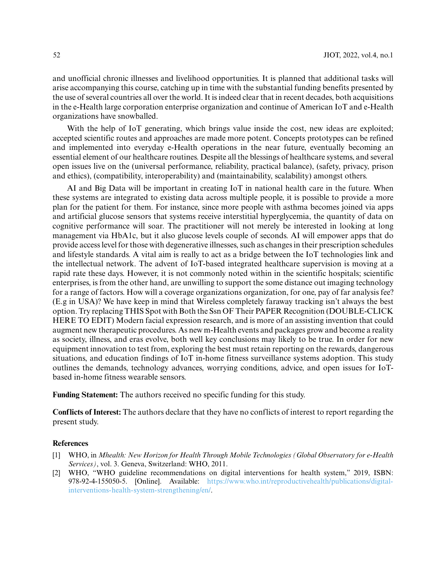and unofficial chronic illnesses and livelihood opportunities. It is planned that additional tasks will arise accompanying this course, catching up in time with the substantial funding benefits presented by the use of several countries all over the world. It is indeed clear that in recent decades, both acquisitions in the e-Health large corporation enterprise organization and continue of American IoT and e-Health organizations have snowballed.

With the help of IoT generating, which brings value inside the cost, new ideas are exploited; accepted scientific routes and approaches are made more potent. Concepts prototypes can be refined and implemented into everyday e-Health operations in the near future, eventually becoming an essential element of our healthcare routines. Despite all the blessings of healthcare systems, and several open issues live on the (universal performance, reliability, practical balance), (safety, privacy, prison and ethics), (compatibility, interoperability) and (maintainability, scalability) amongst others.

AI and Big Data will be important in creating IoT in national health care in the future. When these systems are integrated to existing data across multiple people, it is possible to provide a more plan for the patient for them. For instance, since more people with asthma becomes joined via apps and artificial glucose sensors that systems receive interstitial hyperglycemia, the quantity of data on cognitive performance will soar. The practitioner will not merely be interested in looking at long management via HbA1c, but it also glucose levels couple of seconds. AI will empower apps that do provide access level for those with degenerative illnesses, such as changes in their prescription schedules and lifestyle standards. A vital aim is really to act as a bridge between the IoT technologies link and the intellectual network. The advent of IoT-based integrated healthcare supervision is moving at a rapid rate these days. However, it is not commonly noted within in the scientific hospitals; scientific enterprises, is from the other hand, are unwilling to support the some distance out imaging technology for a range of factors. How will a coverage organizations organization, for one, pay of far analysis fee? (E.g in USA)? We have keep in mind that Wireless completely faraway tracking isn't always the best option. Try replacing THIS Spot with Both the Ssn OF Their PAPER Recognition (DOUBLE-CLICK HERE TO EDIT) Modern facial expression research, and is more of an assisting invention that could augment new therapeutic procedures. As new m-Health events and packages grow and become a reality as society, illness, and eras evolve, both well key conclusions may likely to be true. In order for new equipment innovation to test from, exploring the best must retain reporting on the rewards, dangerous situations, and education findings of IoT in-home fitness surveillance systems adoption. This study outlines the demands, technology advances, worrying conditions, advice, and open issues for IoTbased in-home fitness wearable sensors.

**Funding Statement:** The authors received no specific funding for this study.

**Conflicts of Interest:** The authors declare that they have no conflicts of interest to report regarding the present study.

### **References**

- <span id="page-17-0"></span>[1] WHO, in *Mhealth: New Horizon for Health Through Mobile Technologies (Global Observatory for e-Health Services)*, vol. 3. Geneva, Switzerland: WHO, 2011.
- <span id="page-17-1"></span>[2] WHO, "WHO guideline recommendations on digital interventions for health system," 2019, ISBN: 978-92-4-155050-5. [Online]. Available: [https://www.who.int/reproductivehealth/publications/digital](https://www.who.int/reproductivehealth/publications/digital-interventions-health-system-strengthening/en/)[interventions-health-system-strengthening/en/.](https://www.who.int/reproductivehealth/publications/digital-interventions-health-system-strengthening/en/)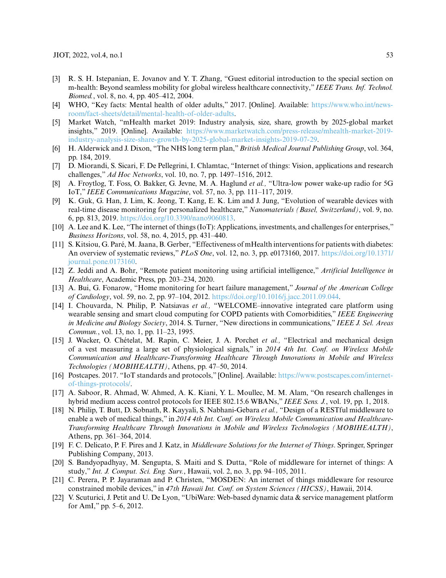- <span id="page-18-0"></span>[3] R. S. H. Istepanian, E. Jovanov and Y. T. Zhang, "Guest editorial introduction to the special section on m-health: Beyond seamless mobility for global wireless healthcare connectivity," *IEEE Trans. Inf. Technol. Biomed.*, vol. 8, no. 4, pp. 405–412, 2004.
- <span id="page-18-1"></span>[4] WHO, "Key facts: Mental health of older adults," 2017. [Online]. Available: [https://www.who.int/news](https://www.who.int/news-room/fact-sheets/detail/mental-health-of-older-adults)[room/fact-sheets/detail/mental-health-of-older-adults.](https://www.who.int/news-room/fact-sheets/detail/mental-health-of-older-adults)
- <span id="page-18-2"></span>[5] Market Watch, "mHealth market 2019: Industry analysis, size, share, growth by 2025-global market insights," 2019. [Online]. Available: [https://www.marketwatch.com/press-release/mhealth-market-2019](https://www.marketwatch.com/press-release/mhealth-market-2019-industry-analysis-size-share-growth-by-2025-global-market-insights-2019-07-29) [industry-analysis-size-share-growth-by-2025-global-market-insights-2019-07-29.](https://www.marketwatch.com/press-release/mhealth-market-2019-industry-analysis-size-share-growth-by-2025-global-market-insights-2019-07-29)
- <span id="page-18-3"></span>[6] H. Alderwick and J. Dixon, "The NHS long term plan,"*British Medical Journal Publishing Group*, vol. 364, pp. 184, 2019.
- <span id="page-18-4"></span>[7] D. Miorandi, S. Sicari, F. De Pellegrini, I. Chlamtac, "Internet of things: Vision, applications and research challenges," *Ad Hoc Networks*, vol. 10, no. 7, pp. 1497–1516, 2012.
- <span id="page-18-5"></span>[8] A. Froytlog, T. Foss, O. Bakker, G. Jevne, M. A. Haglund *et al.,* "Ultra-low power wake-up radio for 5G IoT," *IEEE Communications Magazine*, vol. 57, no. 3, pp. 111–117, 2019.
- <span id="page-18-6"></span>[9] K. Guk, G. Han, J. Lim, K. Jeong, T. Kang, E. K. Lim and J. Jung, "Evolution of wearable devices with real-time disease monitoring for personalized healthcare," *Nanomaterials (Basel, Switzerland)*, vol. 9, no. 6, pp. 813, 2019. [https://doi.org/10.3390/nano9060813.](https://doi.org/10.3390/nano9060813)
- <span id="page-18-7"></span>[10] A. Lee and K. Lee, "The internet of things (IoT): Applications, investments, and challenges for enterprises," *Business Horizons*, vol. 58, no. 4, 2015, pp. 431–440.
- <span id="page-18-8"></span>[11] S. Kitsiou, G. Paré, M. Jaana, B. Gerber, "Effectiveness of mHealth interventions for patients with diabetes: An overview of systematic reviews," *PLoS One*, vol. 12, no. 3, pp. e0173160, 2017. [https://doi.org/10.1371/](https://doi.org/10.1371/journal.pone.0173160) [journal.pone.0173160.](https://doi.org/10.1371/journal.pone.0173160)
- <span id="page-18-9"></span>[12] Z. Jeddi and A. Bohr, "Remote patient monitoring using artificial intelligence," *Artificial Intelligence in Healthcare*, Academic Press, pp. 203–234, 2020.
- <span id="page-18-10"></span>[13] A. Bui, G. Fonarow, "Home monitoring for heart failure management," *Journal of the American College of Cardiology*, vol. 59, no. 2, pp. 97–104, 2012. [https://doi.org/10.1016/j.jacc.2011.09.044.](https://doi.org/10.1016/j.jacc.2011.09.044)
- <span id="page-18-11"></span>[14] I. Chouvarda, N. Philip, P. Natsiavas *et al.,* "WELCOME–innovative integrated care platform using wearable sensing and smart cloud computing for COPD patients with Comorbidities," *IEEE Engineering in Medicine and Biology Society*, 2014. S. Turner, "New directions in communications," *IEEE J. Sel. Areas Commun.*, vol. 13, no. 1, pp. 11–23, 1995.
- <span id="page-18-12"></span>[15] J. Wacker, O. Chételat, M. Rapin, C. Meier, J. A. Porchet *et al.,* "Electrical and mechanical design of a vest measuring a large set of physiological signals," in *2014 4th Int. Conf. on Wireless Mobile Communication and Healthcare-Transforming Healthcare Through Innovations in Mobile and Wireless Technologies (MOBIHEALTH)*, Athens, pp. 47–50, 2014.
- <span id="page-18-13"></span>[16] Postcapes. 2017. "IoT standards and protocols," [Online]. Available: [https://www.postscapes.com/internet](https://www.postscapes.com/internet-of-things-protocols/)[of-things-protocols/.](https://www.postscapes.com/internet-of-things-protocols/)
- <span id="page-18-14"></span>[17] A. Saboor, R. Ahmad, W. Ahmed, A. K. Kiani, Y. L. Moullec, M. M. Alam, "On research challenges in hybrid medium access control protocols for IEEE 802.15.6 WBANs," *IEEE Sens. J.*, vol. 19, pp. 1, 2018.
- [18] N. Philip, T. Butt, D. Sobnath, R. Kayyali, S. Nabhani-Gebara *et al.,* "Design of a RESTful middleware to enable a web of medical things," in *2014 4th Int. Conf. on Wireless Mobile Communication and Healthcare-Transforming Healthcare Through Innovations in Mobile and Wireless Technologies (MOBIHEALTH)*, Athens, pp. 361–364, 2014.
- <span id="page-18-16"></span>[19] F. C. Delicato, P. F. Pires and J. Katz, in *Middleware Solutions for the Internet of Things*. Springer, Springer Publishing Company, 2013.
- <span id="page-18-17"></span>[20] S. Bandyopadhyay, M. Sengupta, S. Maiti and S. Dutta, "Role of middleware for internet of things: A study," *Int. J. Comput. Sci. Eng. Surv.*, Hawaii, vol. 2, no. 3, pp. 94–105, 2011.
- <span id="page-18-18"></span>[21] C. Perera, P. P. Jayaraman and P. Christen, "MOSDEN: An internet of things middleware for resource constrained mobile devices," in *47th Hawaii Int. Conf. on System Sciences (HICSS)*, Hawaii, 2014.
- <span id="page-18-15"></span>[22] V. Scuturici, J. Petit and U. De Lyon, "UbiWare: Web-based dynamic data & service management platform for AmI," pp. 5–6, 2012.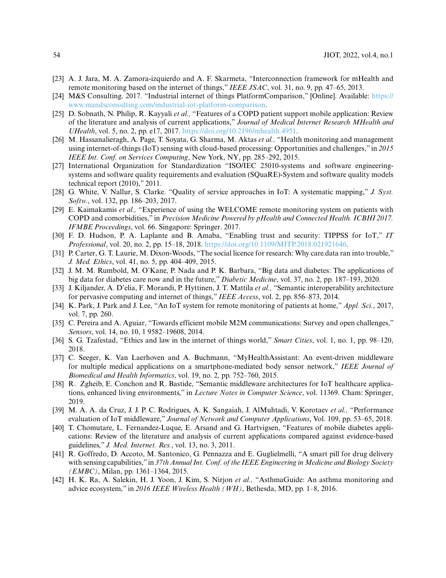- <span id="page-19-4"></span>[23] A. J. Jara, M. A. Zamora-izquierdo and A. F. Skarmeta, "Interconnection framework for mHealth and remote monitoring based on the internet of things," *IEEE JSAC*, vol. 31, no. 9, pp. 47–65, 2013.
- <span id="page-19-5"></span>[24] M&S Consulting. 2017. "Industrial internet of things PlatformComparison," [Online]. Available: [https://](https://www.mandsconsulting.com/industrial-iot-platform-comparison) [www.mandsconsulting.com/industrial-iot-platform-comparison.](https://www.mandsconsulting.com/industrial-iot-platform-comparison)
- <span id="page-19-6"></span>[25] D. Sobnath, N. Philip, R. Kayyali *et al.,* "Features of a COPD patient support mobile application: Review of the literature and analysis of current applications," *Journal of Medical Internet Research MHealth and UHealth*, vol. 5, no. 2, pp. e17, 2017. [https://doi.org/10.2196/mhealth.4951.](https://doi.org/10.2196/mhealth.4951)
- <span id="page-19-10"></span>[26] M. Hassanalieragh, A. Page, T. Soyata, G. Sharma, M. Aktas *et al.,* "Health monitoring and management using internet-of-things (IoT) sensing with cloud-based processing: Opportunities and challenges," in *2015 IEEE Int. Conf. on Services Computing*, New York, NY, pp. 285–292, 2015.
- <span id="page-19-11"></span>[27] International Organization for Standardization "ISO/IEC 25010-systems and software engineeringsystems and software quality requirements and evaluation (SQuaRE)-System and software quality models technical report (2010)," 2011.
- <span id="page-19-12"></span>[28] G. White, V. Nallur, S. Clarke. "Quality of service approaches in IoT: A systematic mapping," *J. Syst. Softw.*, vol. 132, pp. 186–203, 2017.
- <span id="page-19-2"></span>[29] E. Kaimakamis *et al.,* "Experience of using the WELCOME remote monitoring system on patients with COPD and comorbidities," in *Precision Medicine Powered by pHealth and Connected Health. ICBHI 2017. IFMBE Proceedings*, vol. 66. Singapore: Springer. 2017.
- <span id="page-19-13"></span>[30] F. D. Hudson, P. A. Laplante and B. Amaba, "Enabling trust and security: TIPPSS for IoT," *IT Professional*, vol. 20, no. 2, pp. 15–18, 2018. [https://doi.org/10.1109/MITP.2018.021921646.](https://doi.org/10.1109/MITP.2018.021921646)
- <span id="page-19-16"></span>[31] P. Carter, G. T. Laurie, M. Dixon-Woods, "The social licence for research: Why care.data ran into trouble," *J. Med. Ethics*, vol. 41, no. 5, pp. 404–409, 2015.
- <span id="page-19-14"></span>[32] J. M. M. Rumbold, M. O'Kane, P. Nada and P. K. Barbara, "Big data and diabetes: The applications of big data for diabetes care now and in the future," *Diabetic Medicine*, vol. 37, no. 2, pp. 187–193, 2020.
- <span id="page-19-17"></span>[33] J. Kiljander, A. D'elia, F. Morandi, P. Hyttinen, J. T. Mattila *et al.,* "Semantic interoperability architecture for pervasive computing and internet of things," *IEEE Access*, vol. 2, pp. 856–873, 2014.
- <span id="page-19-18"></span>[34] K. Park, J. Park and J. Lee, "An IoT system for remote monitoring of patients at home," *Appl. Sci.*, 2017, vol. 7, pp. 260.
- <span id="page-19-19"></span>[35] C. Pereira and A. Aguiar, "Towards efficient mobile M2M communications: Survey and open challenges," *Sensors*, vol. 14, no. 10, 1 9582–19608, 2014.
- <span id="page-19-15"></span>[36] S. G. Tzafestad, "Ethics and law in the internet of things world," *Smart Cities*, vol. 1, no. 1, pp. 98–120, 2018.
- <span id="page-19-7"></span>[37] C. Seeger, K. Van Laerhoven and A. Buchmann, "MyHealthAssistant: An event-driven middleware for multiple medical applications on a smartphone-mediated body sensor network," *IEEE Journal of Biomedical and Health Informatics*, vol. 19, no. 2, pp. 752–760, 2015.
- <span id="page-19-8"></span>[38] R. Zgheib, E. Conchon and R. Bastide, "Semantic middleware architectures for IoT healthcare applications, enhanced living environments," in *Lecture Notes in Computer Science*, vol. 11369. Cham: Springer, 2019.
- <span id="page-19-9"></span>[39] M. A. A. da Cruz, J. J. P. C. Rodrigues, A. K. Sangaiah, J. AlMuhtadi, V. Korotaev *et al.,* "Performance evaluation of IoT middleware," *Journal of Network and Computer Applications*, Vol. 109, pp. 53–65, 2018.
- <span id="page-19-0"></span>[40] T. Chomutare, L. Fernandez-Luque, E. Arsand and G. Hartvigsen, "Features of mobile diabetes applications: Review of the literature and analysis of current applications compared against evidence-based guidelines," *J. Med. Internet. Res.*, vol. 13, no. 3, 2011.
- <span id="page-19-1"></span>[41] R. Goffredo, D. Accoto, M. Santonico, G. Pennazza and E. Guglielmelli, "A smart pill for drug delivery with sensing capabilities,"in *37th Annual Int. Conf. of the IEEE Engineering in Medicine and Biology Society (EMBC)*, Milan, pp. 1361–1364, 2015.
- <span id="page-19-3"></span>[42] H. K. Ra, A. Salekin, H. J. Yoon, J. Kim, S. Nirjon *et al.,* "AsthmaGuide: An asthma monitoring and advice ecosystem," in *2016 IEEE Wireless Health (WH)*, Bethesda, MD, pp. 1–8, 2016.